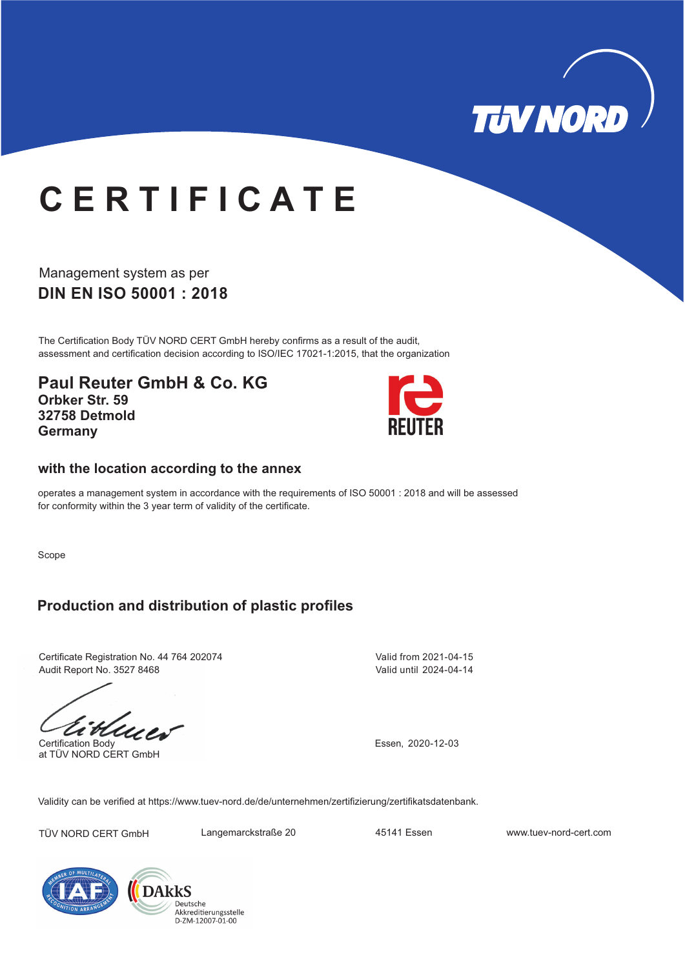

## **C E R T I F I C A T E**

**DIN EN ISO 50001 : 2018** Management system as per

The Certification Body TÜV NORD CERT GmbH hereby confirms as a result of the audit, assessment and certification decision according to ISO/IEC 17021-1:2015, that the organization

**Paul Reuter GmbH & Co. KG Orbker Str. 59 32758 Detmold Germany**



## **with the location according to the annex**

operates a management system in accordance with the requirements of ISO 50001 : 2018 and will be assessed for conformity within the 3 year term of validity of the certificate.

Scope

## **Production and distribution of plastic profiles**

Certificate Registration No. 44 764 202074 Audit Report No. 3527 8468

Certification Body at TÜV NORD CERT GmbH

Valid from 2021-04-15 Valid until 2024-04-14

Essen, 2020-12-03

Validity can be verified at https://www.tuev-nord.de/de/unternehmen/zertifizierung/zertifikatsdatenbank.

TÜV NORD CERT GmbH Langemarckstraße 20 45141 Essen www.tuev-nord-cert.com